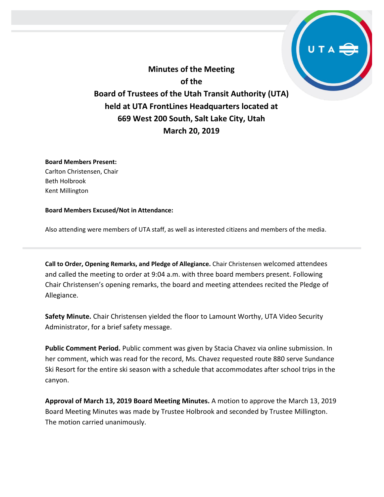**Minutes of the Meeting of the Board of Trustees of the Utah Transit Authority (UTA) held at UTA FrontLines Headquarters located at 669 West 200 South, Salt Lake City, Utah March 20, 2019**

**Board Members Present:**

Carlton Christensen, Chair Beth Holbrook Kent Millington

#### **Board Members Excused/Not in Attendance:**

Also attending were members of UTA staff, as well as interested citizens and members of the media.

**Call to Order, Opening Remarks, and Pledge of Allegiance.** Chair Christensen welcomed attendees and called the meeting to order at 9:04 a.m. with three board members present. Following Chair Christensen's opening remarks, the board and meeting attendees recited the Pledge of Allegiance.

**Safety Minute.** Chair Christensen yielded the floor to Lamount Worthy, UTA Video Security Administrator, for a brief safety message.

**Public Comment Period.** Public comment was given by Stacia Chavez via online submission. In her comment, which was read for the record, Ms. Chavez requested route 880 serve Sundance Ski Resort for the entire ski season with a schedule that accommodates after school trips in the canyon.

**Approval of March 13, 2019 Board Meeting Minutes.** A motion to approve the March 13, 2019 Board Meeting Minutes was made by Trustee Holbrook and seconded by Trustee Millington. The motion carried unanimously.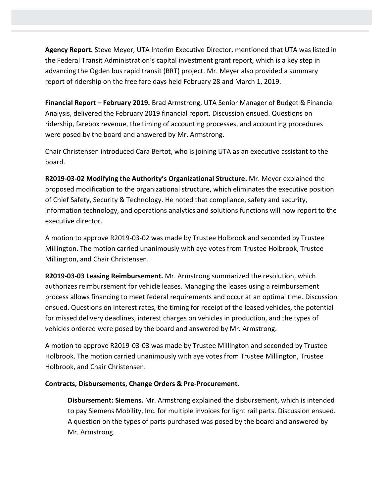**Agency Report.** Steve Meyer, UTA Interim Executive Director, mentioned that UTA was listed in the Federal Transit Administration's capital investment grant report, which is a key step in advancing the Ogden bus rapid transit (BRT) project. Mr. Meyer also provided a summary report of ridership on the free fare days held February 28 and March 1, 2019.

**Financial Report – February 2019.** Brad Armstrong, UTA Senior Manager of Budget & Financial Analysis, delivered the February 2019 financial report. Discussion ensued. Questions on ridership, farebox revenue, the timing of accounting processes, and accounting procedures were posed by the board and answered by Mr. Armstrong.

Chair Christensen introduced Cara Bertot, who is joining UTA as an executive assistant to the board.

**R2019-03-02 Modifying the Authority's Organizational Structure.** Mr. Meyer explained the proposed modification to the organizational structure, which eliminates the executive position of Chief Safety, Security & Technology. He noted that compliance, safety and security, information technology, and operations analytics and solutions functions will now report to the executive director.

A motion to approve R2019-03-02 was made by Trustee Holbrook and seconded by Trustee Millington. The motion carried unanimously with aye votes from Trustee Holbrook, Trustee Millington, and Chair Christensen.

**R2019-03-03 Leasing Reimbursement.** Mr. Armstrong summarized the resolution, which authorizes reimbursement for vehicle leases. Managing the leases using a reimbursement process allows financing to meet federal requirements and occur at an optimal time. Discussion ensued. Questions on interest rates, the timing for receipt of the leased vehicles, the potential for missed delivery deadlines, interest charges on vehicles in production, and the types of vehicles ordered were posed by the board and answered by Mr. Armstrong.

A motion to approve R2019-03-03 was made by Trustee Millington and seconded by Trustee Holbrook. The motion carried unanimously with aye votes from Trustee Millington, Trustee Holbrook, and Chair Christensen.

# **Contracts, Disbursements, Change Orders & Pre-Procurement.**

**Disbursement: Siemens.** Mr. Armstrong explained the disbursement, which is intended to pay Siemens Mobility, Inc. for multiple invoices for light rail parts. Discussion ensued. A question on the types of parts purchased was posed by the board and answered by Mr. Armstrong.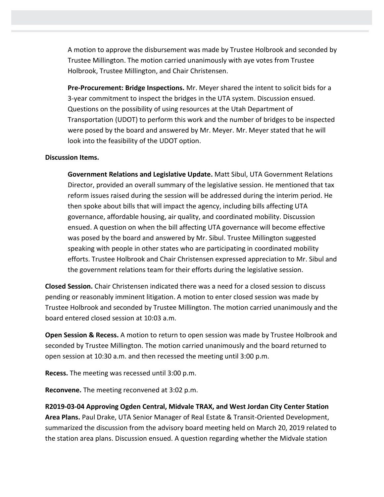A motion to approve the disbursement was made by Trustee Holbrook and seconded by Trustee Millington. The motion carried unanimously with aye votes from Trustee Holbrook, Trustee Millington, and Chair Christensen.

**Pre-Procurement: Bridge Inspections.** Mr. Meyer shared the intent to solicit bids for a 3-year commitment to inspect the bridges in the UTA system. Discussion ensued. Questions on the possibility of using resources at the Utah Department of Transportation (UDOT) to perform this work and the number of bridges to be inspected were posed by the board and answered by Mr. Meyer. Mr. Meyer stated that he will look into the feasibility of the UDOT option.

### **Discussion Items.**

**Government Relations and Legislative Update.** Matt Sibul, UTA Government Relations Director, provided an overall summary of the legislative session. He mentioned that tax reform issues raised during the session will be addressed during the interim period. He then spoke about bills that will impact the agency, including bills affecting UTA governance, affordable housing, air quality, and coordinated mobility. Discussion ensued. A question on when the bill affecting UTA governance will become effective was posed by the board and answered by Mr. Sibul. Trustee Millington suggested speaking with people in other states who are participating in coordinated mobility efforts. Trustee Holbrook and Chair Christensen expressed appreciation to Mr. Sibul and the government relations team for their efforts during the legislative session.

**Closed Session.** Chair Christensen indicated there was a need for a closed session to discuss pending or reasonably imminent litigation. A motion to enter closed session was made by Trustee Holbrook and seconded by Trustee Millington. The motion carried unanimously and the board entered closed session at 10:03 a.m.

**Open Session & Recess.** A motion to return to open session was made by Trustee Holbrook and seconded by Trustee Millington. The motion carried unanimously and the board returned to open session at 10:30 a.m. and then recessed the meeting until 3:00 p.m.

**Recess.** The meeting was recessed until 3:00 p.m.

**Reconvene.** The meeting reconvened at 3:02 p.m.

**R2019-03-04 Approving Ogden Central, Midvale TRAX, and West Jordan City Center Station Area Plans.** Paul Drake, UTA Senior Manager of Real Estate & Transit-Oriented Development, summarized the discussion from the advisory board meeting held on March 20, 2019 related to the station area plans. Discussion ensued. A question regarding whether the Midvale station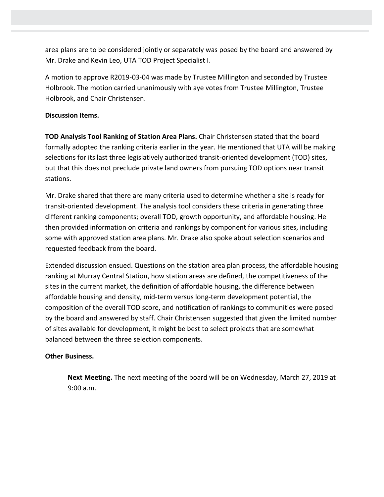area plans are to be considered jointly or separately was posed by the board and answered by Mr. Drake and Kevin Leo, UTA TOD Project Specialist I.

A motion to approve R2019-03-04 was made by Trustee Millington and seconded by Trustee Holbrook. The motion carried unanimously with aye votes from Trustee Millington, Trustee Holbrook, and Chair Christensen.

### **Discussion Items.**

**TOD Analysis Tool Ranking of Station Area Plans.** Chair Christensen stated that the board formally adopted the ranking criteria earlier in the year. He mentioned that UTA will be making selections for its last three legislatively authorized transit-oriented development (TOD) sites, but that this does not preclude private land owners from pursuing TOD options near transit stations.

Mr. Drake shared that there are many criteria used to determine whether a site is ready for transit-oriented development. The analysis tool considers these criteria in generating three different ranking components; overall TOD, growth opportunity, and affordable housing. He then provided information on criteria and rankings by component for various sites, including some with approved station area plans. Mr. Drake also spoke about selection scenarios and requested feedback from the board.

Extended discussion ensued. Questions on the station area plan process, the affordable housing ranking at Murray Central Station, how station areas are defined, the competitiveness of the sites in the current market, the definition of affordable housing, the difference between affordable housing and density, mid-term versus long-term development potential, the composition of the overall TOD score, and notification of rankings to communities were posed by the board and answered by staff. Chair Christensen suggested that given the limited number of sites available for development, it might be best to select projects that are somewhat balanced between the three selection components.

# **Other Business.**

**Next Meeting.** The next meeting of the board will be on Wednesday, March 27, 2019 at 9:00 a.m.